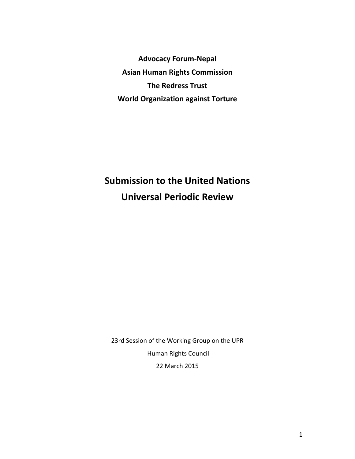**Advocacy Forum-Nepal Asian Human Rights Commission The Redress Trust World Organization against Torture**

# **Submission to the United Nations Universal Periodic Review**

23rd Session of the Working Group on the UPR Human Rights Council 22 March 2015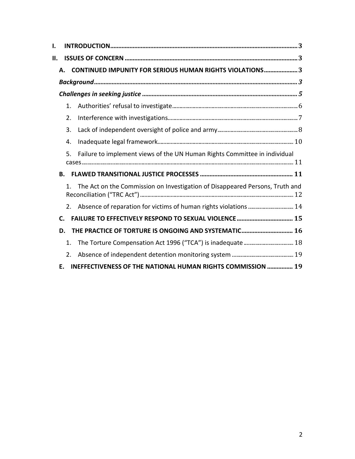| ı. |                |                                                                              |  |  |
|----|----------------|------------------------------------------------------------------------------|--|--|
| П. |                |                                                                              |  |  |
|    | Δ.             | <b>CONTINUED IMPUNITY FOR SERIOUS HUMAN RIGHTS VIOLATIONS3</b>               |  |  |
|    |                |                                                                              |  |  |
|    |                |                                                                              |  |  |
|    | 1.             |                                                                              |  |  |
|    | 2.             |                                                                              |  |  |
|    | 3.             |                                                                              |  |  |
|    | 4.             |                                                                              |  |  |
|    | 5.             | Failure to implement views of the UN Human Rights Committee in individual    |  |  |
|    | В.             |                                                                              |  |  |
|    | $\mathbf{1}$   | The Act on the Commission on Investigation of Disappeared Persons, Truth and |  |  |
|    |                | Absence of reparation for victims of human rights violations  14             |  |  |
|    | $\mathsf{C}$ . |                                                                              |  |  |
|    | D.             | THE PRACTICE OF TORTURE IS ONGOING AND SYSTEMATIC 16                         |  |  |
|    | $\mathbf{1}$ . |                                                                              |  |  |
|    | 2.             |                                                                              |  |  |
|    | Е.             | INEFFECTIVENESS OF THE NATIONAL HUMAN RIGHTS COMMISSION  19                  |  |  |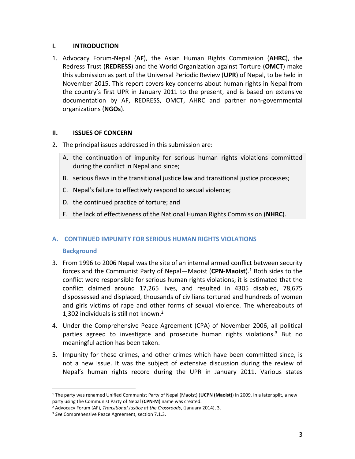# **I. INTRODUCTION**

1. Advocacy Forum-Nepal (**AF**), the Asian Human Rights Commission (**AHRC**), the Redress Trust (**REDRESS**) and the World Organization against Torture (**OMCT**) make this submission as part of the Universal Periodic Review (**UPR**) of Nepal, to be held in November 2015. This report covers key concerns about human rights in Nepal from the country's first UPR in January 2011 to the present, and is based on extensive documentation by AF, REDRESS, OMCT, AHRC and partner non-governmental organizations (**NGOs**).

# **II. ISSUES OF CONCERN**

- 2. The principal issues addressed in this submission are:
	- A. the continuation of impunity for serious human rights violations committed during the conflict in Nepal and since;
	- B. serious flaws in the transitional justice law and transitional justice processes;
	- C. Nepal's failure to effectively respond to sexual violence;
	- D. the continued practice of torture; and
	- E. the lack of effectiveness of the National Human Rights Commission (**NHRC**).

# **A. CONTINUED IMPUNITY FOR SERIOUS HUMAN RIGHTS VIOLATIONS**

# **Background**

- 3. From 1996 to 2006 Nepal was the site of an internal armed conflict between security forces and the Communist Party of Nepal—Maoist (**CPN-Maoist**).1 Both sides to the conflict were responsible for serious human rights violations; it is estimated that the conflict claimed around 17,265 lives, and resulted in 4305 disabled, 78,675 dispossessed and displaced, thousands of civilians tortured and hundreds of women and girls victims of rape and other forms of sexual violence. The whereabouts of 1,302 individuals is still not known.2
- 4. Under the Comprehensive Peace Agreement (CPA) of November 2006, all political parties agreed to investigate and prosecute human rights violations.<sup>3</sup> But no meaningful action has been taken.
- 5. Impunity for these crimes, and other crimes which have been committed since, is not a new issue. It was the subject of extensive discussion during the review of Nepal's human rights record during the UPR in January 2011. Various states

<sup>1</sup> The party was renamed Unified Communist Party of Nepal (Maoist) (**UCPN (Maoist)**) in 2009. In a later split, a new party using the Communist Party of Nepal (**CPN-M**) name was created.

<sup>2</sup> Advocacy Forum (AF), *Transitional Justice at the Crossroads*, (January 2014), 3.

<sup>3</sup> *See* Comprehensive Peace Agreement, section 7.1.3.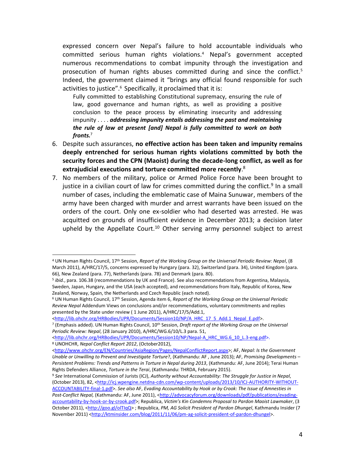expressed concern over Nepal's failure to hold accountable individuals who committed serious human rights violations.4 Nepal's government accepted numerous recommendations to combat impunity through the investigation and prosecution of human rights abuses committed during and since the conflict.<sup>5</sup> Indeed, the government claimed it "brings any official found responsible for such activities to justice".<sup>6</sup> Specifically, it proclaimed that it is:

Fully committed to establishing Constitutional supremacy, ensuring the rule of law, good governance and human rights, as well as providing a positive conclusion to the peace process by eliminating insecurity and addressing impunity . . . . *addressing impunity entails addressing the past and maintaining the rule of law at present [and] Nepal is fully committed to work on both fronts.*<sup>7</sup>

- 6. Despite such assurances, **no effective action has been taken and impunity remains deeply entrenched for serious human rights violations committed by both the security forces and the CPN (Maoist) during the decade-long conflict, as well as for extrajudicial executions and torture committed more recently**. 8
- 7. No members of the military, police or Armed Police Force have been brought to justice in a civilian court of law for crimes committed during the conflict.<sup>9</sup> In a small number of cases, including the emblematic case of Maina Sunuwar, members of the army have been charged with murder and arrest warrants have been issued on the orders of the court. Only one ex-soldier who had deserted was arrested. He was acquitted on grounds of insufficient evidence in December 2013; a decision later upheld by the Appellate Court.<sup>10</sup> Other serving army personnel subject to arrest

<sup>4</sup> UN Human Rights Council, 17th Session, *Report of the Working Group on the Universal Periodic Review: Nepal*, (8 March 2011), A/HRC/17/5, concerns expressed by Hungary (para. 32), Switzerland (para. 34), United Kingdom (para. 66), New Zealand (para. 77), Netherlands (para. 78) and Denmark (para. 80).

<sup>5</sup> *ibid.*, para. 106.38 (recommendations by UK and France). See also recommendations from Argentina, Malaysia, Sweden, Japan, Hungary, and the USA (each accepted), and recommendations from Italy, Republic of Korea, New Zealand, Norway, Spain, the Netherlands and Czech Republic (each noted).

<sup>6</sup> UN Human Rights Council, 17th Session, Agenda item 6, *Report of the Working Group on the Universal Periodic Review Nepal* Addendum Views on conclusions and/or recommendations, voluntary commitments and replies presented by the State under review ( 1 June 2011), A/HRC/17/5/Add.1,

<sup>&</sup>lt;http://lib.ohchr.org/HRBodies/UPR/Documents/Session10/NP/A\_HRC\_17\_5\_Add.1\_Nepal\_E.pdf>.

<sup>7</sup> (Emphasis added). UN Human Rights Council, 10th Session, *Draft report of the Working Group on the Universal Periodic Review: Nepal*, (28 January 2010), A/HRC/WG.6/10/L.3 para. 51,

<sup>&</sup>lt;http://lib.ohchr.org/HRBodies/UPR/Documents/Session10/NP/Nepal-A\_HRC\_WG.6\_10\_L.3-eng.pdf>. <sup>8</sup> UNOHCHR, *Nepal Conflict Report 2012*, (October2012),

<sup>&</sup>lt;http://www.ohchr.org/EN/Countries/AsiaRegion/Pages/NepalConflictReport.aspx>; AF, *Nepal: Is the Government Unable or Unwilling to Prevent and Investigate Torture*?, (Kathmandu: AF , June 2013); AF, *Promising Developments – Persistent Problems: Trends and Patterns in Torture in Nepal during 2013*, (Kathmandu: AF, June 2014); Terai Human Rights Defenders Alliance, *Torture in the Terai*, (Kathmandu: THRDA, February 2015).

<sup>9</sup> *See* International Commission of Jurists (ICJ), *Authority without Accountability: The Struggle for Justice in Nepal*, (October 2013), 82, <http://icj.wpengine.netdna-cdn.com/wp-content/uploads/2013/10/ICJ-AUTHORITY-WITHOUT-ACCOUNTABILITY-final-1.pdf>. *See also* AF, *Evading Accountability by Hook or by Crook: The Issue of Amnesties in*  Post-Conflict Nepal, (Kathmandu: AF, June 2011), <http://advocacyforum.org/downloads/pdf/publications/evadingaccountability-by-hook-or-by-crook.pdf>; Republica, *Victim's Kin Condemns Proposal to Pardon Maoist Lawmaker*, (3 October 2011), <http://goo.gl/olTIqQ> ; Republica, *PM, AG Solicit President of Pardon Dhungel*, Kathmandu Insider (7 November 2011) <http://ktminsider.com/blog/2011/11/06/pm-ag-solicit-president-of-pardon-dhungel>.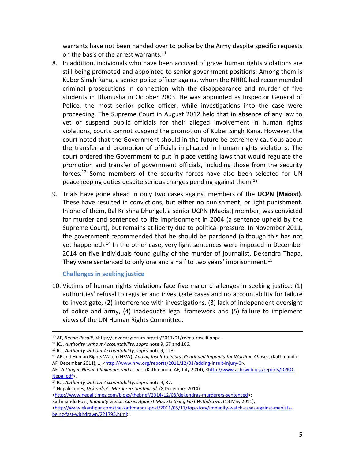warrants have not been handed over to police by the Army despite specific requests on the basis of the arrest warrants.<sup>11</sup>

- 8. In addition, individuals who have been accused of grave human rights violations are still being promoted and appointed to senior government positions. Among them is Kuber Singh Rana, a senior police officer against whom the NHRC had recommended criminal prosecutions in connection with the disappearance and murder of five students in Dhanusha in October 2003. He was appointed as Inspector General of Police, the most senior police officer, while investigations into the case were proceeding. The Supreme Court in August 2012 held that in absence of any law to vet or suspend public officials for their alleged involvement in human rights violations, courts cannot suspend the promotion of Kuber Singh Rana. However, the court noted that the Government should in the future be extremely cautious about the transfer and promotion of officials implicated in human rights violations. The court ordered the Government to put in place vetting laws that would regulate the promotion and transfer of government officials, including those from the security forces.<sup>12</sup> Some members of the security forces have also been selected for UN peacekeeping duties despite serious charges pending against them.13
- 9. Trials have gone ahead in only two cases against members of the **UCPN (Maoist)**. These have resulted in convictions, but either no punishment, or light punishment. In one of them, Bal Krishna Dhungel, a senior UCPN (Maoist) member, was convicted for murder and sentenced to life imprisonment in 2004 (a sentence upheld by the Supreme Court), but remains at liberty due to political pressure. In November 2011, the government recommended that he should be pardoned (although this has not yet happened).<sup>14</sup> In the other case, very light sentences were imposed in December 2014 on five individuals found guilty of the murder of journalist, Dekendra Thapa. They were sentenced to only one and a half to two years' imprisonment.<sup>15</sup>

# **Challenges in seeking justice**

 $\overline{a}$ 

10. Victims of human rights violations face five major challenges in seeking justice: (1) authorities' refusal to register and investigate cases and no accountability for failure to investigate, (2) interference with investigations, (3) lack of independent oversight of police and army, (4) inadequate legal framework and (5) failure to implement views of the UN Human Rights Committee.

<sup>10</sup> AF, *Reena Rasaili,* <http://advocacyforum.org/fir/2011/01/reena-rasaili.php>.

<sup>11</sup> ICJ, *Authority without Accountability, supra* note 9, 67 and 106. 12 ICJ, *Authority without Accountability, supra* note 9, 113.

<sup>13</sup> AF and Human Rights Watch (HRW), *Adding Insult to Injury: Continued Impunity for Wartime Abuses*, (Kathmandu: AF, December 2011), 1, <http://www.hrw.org/reports/2011/12/01/adding-insult-injury-0>.

AF, *Vetting in Nepal: Challenges and Issues*, (Kathmandu: AF, July 2014), <http://www.achrweb.org/reports/DPKO-Nepal.pdf>.<br><sup>14</sup> ICJ, *Authority without Accountability, supra* note 9, 37.<br><sup>15</sup> Nepali Times, *Dekendra's Murderers Sentenced*, (8 December 2014),

<sup>&</sup>lt;http://www.nepalitimes.com/blogs/thebrief/2014/12/08/dekendras-murderers-sentenced>;

Kathmandu Post, *Impunity watch: Cases Against Maoists Being Fast Withdrawn*, (18 May 2011),

<sup>&</sup>lt;http://www.ekantipur.com/the-kathmandu-post/2011/05/17/top-story/impunity-watch-cases-against-maoistsbeing-fast-withdrawn/221795.html>.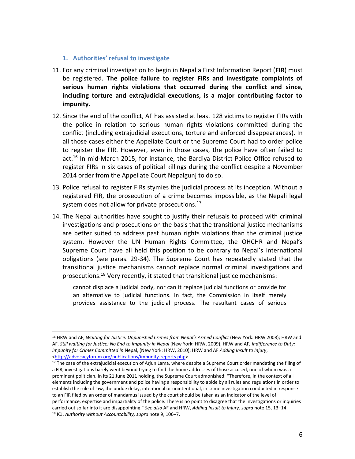**1. Authorities' refusal to investigate**

l

- 11. For any criminal investigation to begin in Nepal a First Information Report (**FIR**) must be registered. **The police failure to register FIRs and investigate complaints of serious human rights violations that occurred during the conflict and since, including torture and extrajudicial executions, is a major contributing factor to impunity.**
- 12. Since the end of the conflict, AF has assisted at least 128 victims to register FIRs with the police in relation to serious human rights violations committed during the conflict (including extrajudicial executions, torture and enforced disappearances). In all those cases either the Appellate Court or the Supreme Court had to order police to register the FIR. However, even in those cases, the police have often failed to act. <sup>16</sup> In mid-March 2015, for instance, the Bardiya District Police Office refused to register FIRs in six cases of political killings during the conflict despite a November 2014 order from the Appellate Court Nepalgunj to do so.
- 13. Police refusal to register FIRs stymies the judicial process at its inception. Without a registered FIR, the prosecution of a crime becomes impossible, as the Nepali legal system does not allow for private prosecutions.<sup>17</sup>
- 14. The Nepal authorities have sought to justify their refusals to proceed with criminal investigations and prosecutions on the basis that the transitional justice mechanisms are better suited to address past human rights violations than the criminal justice system. However the UN Human Rights Committee, the OHCHR and Nepal's Supreme Court have all held this position to be contrary to Nepal's international obligations (see paras. 29-34). The Supreme Court has repeatedly stated that the transitional justice mechanisms cannot replace normal criminal investigations and prosecutions.18 Very recently, it stated that transitional justice mechanisms:

cannot displace a judicial body, nor can it replace judicial functions or provide for an alternative to judicial functions. In fact, the Commission in itself merely provides assistance to the judicial process. The resultant cases of serious

<sup>16</sup> HRW and AF, *Waiting for Justice: Unpunished Crimes from Nepal's Armed Conflict* (New York: HRW 2008); HRW and AF, *Still waiting for Justice: No End to Impunity in Nepal* (New York: HRW, 2009); HRW and AF, *Indifference to Duty: Impunity for Crimes Committed in* Nepal, (New York: HRW, 2010); HRW and AF *Adding Insult to Injury*, <http://advocacyforum.org/publications/impunity-reports.php>.

 $17$  The case of the extrajudicial execution of Arjun Lama, where despite a Supreme Court order mandating the filing of a FIR, investigations barely went beyond trying to find the home addresses of those accused, one of whom was a prominent politician. In its 21 June 2011 holding, the Supreme Court admonished: "Therefore, in the context of all elements including the government and police having a responsibility to abide by all rules and regulations in order to establish the rule of law, the undue delay, intentional or unintentional, in crime investigation conducted in response to an FIR filed by an order of mandamus issued by the court should be taken as an indicator of the level of performance, expertise and impartiality of the police. There is no point to disagree that the investigations or inquiries carried out so far into it are disappointing." *See also* AF and HRW, *Adding Insult to Injury, supra* note 15, 13–14. <sup>18</sup> ICJ, *Authority without Accountability, supra* note 9, 106–7.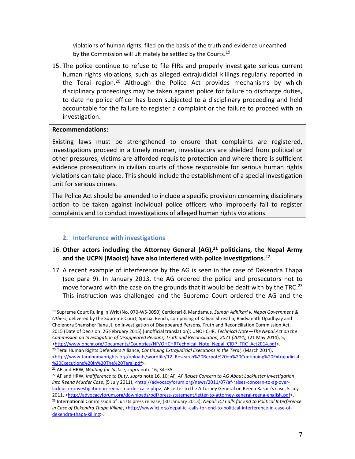violations of human rights, filed on the basis of the truth and evidence unearthed by the Commission will ultimately be settled by the Courts.<sup>19</sup>

15. The police continue to refuse to file FIRs and properly investigate serious current human rights violations, such as alleged extrajudicial killings regularly reported in the Terai region.<sup>20</sup> Although the Police Act provides mechanisms by which disciplinary proceedings may be taken against police for failure to discharge duties, to date no police officer has been subjected to a disciplinary proceeding and held accountable for the failure to register a complaint or the failure to proceed with an investigation.

# **Recommendations:**

 $\overline{a}$ 

Existing laws must be strengthened to ensure that complaints are registered, investigations proceed in a timely manner, investigators are shielded from political or other pressures, victims are afforded requisite protection and where there is sufficient evidence prosecutions in civilian courts of those responsible for serious human rights violations can take place. This should include the establishment of a special investigation unit for serious crimes.

The Police Act should be amended to include a specific provision concerning disciplinary action to be taken against individual police officers who improperly fail to register complaints and to conduct investigations of alleged human rights violations.

# **2. Interference with investigations**

# 16. Other actors including the Attorney General (AG),<sup>21</sup> politicians, the Nepal Army **and the UCPN (Maoist) have also interfered with police investigations**. 22

17. A recent example of interference by the AG is seen in the case of Dekendra Thapa (see para 9). In January 2013, the AG ordered the police and prosecutors not to move forward with the case on the grounds that it would be dealt with by the TRC.<sup>23</sup> This instruction was challenged and the Supreme Court ordered the AG and the

<sup>19</sup> Supreme Court Ruling in Writ (No. 070-WS-0050) Certiorari & Mandamus, *Suman Adhikari v. Nepal Government & Others*, delivered by the Supreme Court, Special Bench, comprising of Kalyan Shrestha, Baidyanath Upadhyay and Cholendra Shamsher Rana JJ, on Investigation of Disappeared Persons, Truth and Reconciliation Commission Act, 2015 (Date of Decision: 26 February 2015) (unofficial translation); UNOHCHR, *Technical Note—The Nepal Act on the Commission on Investigation of Disappeared Persons, Truth and Reconciliation, 2071 (2014), (21 May 2014), 5,*<br>
<http://www.ohchr.org/Documents/Countries/NP/OHCHRTechnical Note Nepal CIDP TRC Act2014.pdf>.

<sup>&</sup>lt;sup>20</sup> Terai Human Rights Defenders Alliance, *Continuing Extrajudicial Executions in the Terai*, (March 2014), <http://www.taraihumanrights.org/uploads/wordfile/12\_Research%20Rerpot%20on%20Continuing%20Extrajudicial %20Executions%20In%20The%20Terai.pdf>.

<sup>21</sup> AF and HRW, *Waiting for Justice*, *supra* note 16, 34–35.

<sup>22</sup> AF and HRW, *Indifference to Duty*, *supra* note 16, 10; AF, *AF Raises Concern to AG About Lackluster Investigation into Reena Murder Case*, (5 July 2011), <http://advocacyforum.org/news/2011/07/af-raises-concern-to-ag-overlackluster-investigation-in-reena-murder-case.php>; AF Letter to the Attorney General on Reena Rasaili's case, 5 July 2011, <http://advocacyforum.org/downloads/pdf/press-statement/letter-to-attorney-general-reena-english.pdf>. <sup>23</sup> International Commission of Jurists press release, (30 January 2013), *Nepal: ICJ Calls for End to Political Interference*  in Case of Dekendra Thapa Killing, <http://www.icj.org/nepal-icj-calls-for-end-to-political-interference-in-case-ofdekendra-thapa-killing>.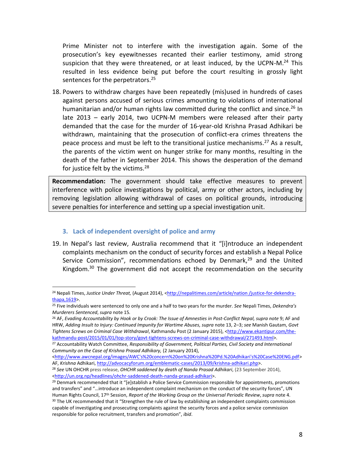Prime Minister not to interfere with the investigation again. Some of the prosecution's key eyewitnesses recanted their earlier testimony, amid strong suspicion that they were threatened, or at least induced, by the UCPN-M. $^{24}$  This resulted in less evidence being put before the court resulting in grossly light sentences for the perpetrators.<sup>25</sup>

18. Powers to withdraw charges have been repeatedly (mis)used in hundreds of cases against persons accused of serious crimes amounting to violations of international humanitarian and/or human rights law committed during the conflict and since.<sup>26</sup> In late 2013 – early 2014, two UCPN-M members were released after their party demanded that the case for the murder of 16-year-old Krishna Prasad Adhikari be withdrawn, maintaining that the prosecution of conflict-era crimes threatens the peace process and must be left to the transitional justice mechanisms.<sup>27</sup> As a result, the parents of the victim went on hunger strike for many months, resulting in the death of the father in September 2014. This shows the desperation of the demand for justice felt by the victims.<sup>28</sup>

**Recommendation:** The government should take effective measures to prevent interference with police investigations by political, army or other actors, including by removing legislation allowing withdrawal of cases on political grounds, introducing severe penalties for interference and setting up a special investigation unit.

#### **3. Lack of independent oversight of police and army**

 $\overline{a}$ 

19. In Nepal's last review, Australia recommend that it "[i]ntroduce an independent complaints mechanism on the conduct of security forces and establish a Nepal Police Service Commission", recommendations echoed by Denmark, $29$  and the United Kingdom.<sup>30</sup> The government did not accept the recommendation on the security

<sup>&</sup>lt;sup>24</sup> Nepali Times, *Justice Under Threat*, (August 2014), <**http://nepalitimes.com/article/nation /justice-for-dekendra-**<br>thapa,1619>.

<sup>&</sup>lt;sup>25</sup> Five individuals were sentenced to only one and a half to two years for the murder. *See* Nepali Times, *Dekendra's Murderers Sentenced*, *supra* note 15*.*

<sup>26</sup> AF, *Evading Accountability by Hook or by Crook: The Issue of Amnesties in Post-Conflict Nepal, supra note* 9; AF and HRW, *Adding Insult to Injury: Continued Impunity for Wartime Abuses, supra* note 13, 2–3; *see* Manish Gautam, *Govt Tightens Screws on Criminal Case Withdrawal*, Kathmandu Post (2 January 2015), <http://www.ekantipur.com/the-<br>kathmandu-post/2015/01/01/top-story/govt-tightens-screws-on-criminal-case-withdrawal/271493.html>.

<sup>&</sup>lt;sup>27</sup> Accountability Watch Committee, Responsibility of Government, Political Parties, Civil Society and International *Community on the Case of Krishna Prasad Adhikary,* (2 January 2014),

<sup>&</sup>lt;http://www.awcnepal.org/images/AWC's%20concern%20on%20Krishna%20Pd.%20Adhikari's%20Case%20ENG.pdf> AF, *Krishna* Adhikari, http://advocacyforum.org/emblematic-cases/2013/09/krishna-adhikari.php>.

<sup>&</sup>lt;sup>28</sup> See UN OHCHR press release, *OHCHR saddened by death of Nanda Prasad Adhikari*, (23 September 2014), <http://un.org.np/headlines/ohchr-saddened-death-nanda-prasad-adhikari>.

<sup>&</sup>lt;sup>29</sup> Denmark recommended that it "[e]stablish a Police Service Commission responsible for appointments, promotions and transfers" and "…introduce an independent complaint mechanism on the conduct of the security forces", UN Human Rights Council, 17th Session, *Report of the Working Group on the Universal Periodic Review*, *supra* note 4. <sup>30</sup> The UK recommended that it "Strengthen the rule of law by establishing an independent complaints commission capable of investigating and prosecuting complaints against the security forces and a police service commission responsible for police recruitment, transfers and promotion", *ibid*.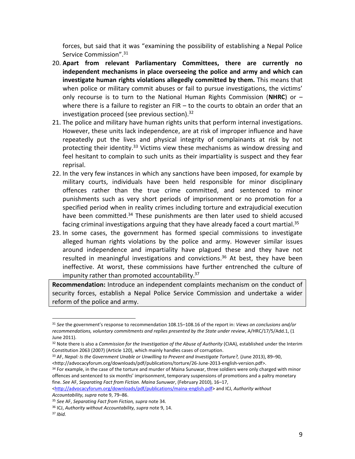forces, but said that it was "examining the possibility of establishing a Nepal Police Service Commission".<sup>31</sup>

- 20. **Apart from relevant Parliamentary Committees, there are currently no independent mechanisms in place overseeing the police and army and which can investigate human rights violations allegedly committed by them.** This means that when police or military commit abuses or fail to pursue investigations, the victims' only recourse is to turn to the National Human Rights Commission (**NHRC**) or – where there is a failure to register an FIR – to the courts to obtain an order that an investigation proceed (see previous section). $32$
- 21. The police and military have human rights units that perform internal investigations. However, these units lack independence, are at risk of improper influence and have repeatedly put the lives and physical integrity of complainants at risk by not protecting their identity.<sup>33</sup> Victims view these mechanisms as window dressing and feel hesitant to complain to such units as their impartiality is suspect and they fear reprisal.
- 22. In the very few instances in which any sanctions have been imposed, for example by military courts, individuals have been held responsible for minor disciplinary offences rather than the true crime committed, and sentenced to minor punishments such as very short periods of imprisonment or no promotion for a specified period when in reality crimes including torture and extrajudicial execution have been committed.<sup>34</sup> These punishments are then later used to shield accused facing criminal investigations arguing that they have already faced a court martial.<sup>35</sup>
- 23. In some cases, the government has formed special commissions to investigate alleged human rights violations by the police and army. However similar issues around independence and impartiality have plagued these and they have not resulted in meaningful investigations and convictions. <sup>36</sup> At best, they have been ineffective. At worst, these commissions have further entrenched the culture of impunity rather than promoted accountability.<sup>37</sup>

**Recommendation:** Introduce an independent complaints mechanism on the conduct of security forces, establish a Nepal Police Service Commission and undertake a wider reform of the police and army.

<http://advocacyforum.org/downloads/pdf/publications/maina-english.pdf> and ICJ, *Authority without Accountability, supra* note 9, 79–86.

<sup>31</sup> *See* the government's response to recommendation 108.15–108.16 of the report in: *Views on conclusions and/or recommendations, voluntary commitments and replies presented by the State under review*, A/HRC/17/5/Add.1, (1 June 2011).

<sup>32</sup> Note there is also a *Commission for the Investigation of the Abuse of Authority* (CIAA), established under the Interim Constitution 2063 (2007) (Article 120), which mainly handles cases of corruption.

<sup>33</sup> AF, *Nepal: Is the Government Unable or Unwilling to Prevent and Investigate Torture?*, (June 2013), 89–90, <http://advocacyforum.org/downloads/pdf/publications/torture/26-June-2013-english-version.pdf>.

<sup>&</sup>lt;sup>34</sup> For example, in the case of the torture and murder of Maina Sunuwar, three soldiers were only charged with minor offences and sentenced to six months' imprisonment, temporary suspensions of promotions and a paltry monetary fine. *See* AF, *Separating Fact from Fiction. Maina Sunuwar*, (February 2010), 16–17,

<sup>35</sup> *See* AF, *Separating Fact from Fiction, supra* note 34.

<sup>&</sup>lt;sup>36</sup> ICJ, *Authority without Accountability, supra* note 9, 14.<br><sup>37</sup> *Ibid.*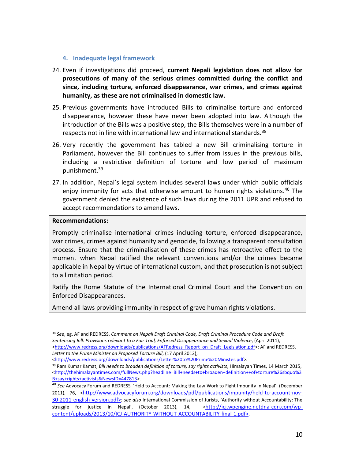#### **4. Inadequate legal framework**

- 24. Even if investigations did proceed, **current Nepali legislation does not allow for prosecutions of many of the serious crimes committed during the conflict and since, including torture, enforced disappearance, war crimes, and crimes against humanity, as these are not criminalised in domestic law.**
- 25. Previous governments have introduced Bills to criminalise torture and enforced disappearance, however these have never been adopted into law. Although the introduction of the Bills was a positive step, the Bills themselves were in a number of respects not in line with international law and international standards.<sup>38</sup>
- 26. Very recently the government has tabled a new Bill criminalising torture in Parliament, however the Bill continues to suffer from issues in the previous bills, including a restrictive definition of torture and low period of maximum punishment.39
- 27. In addition, Nepal's legal system includes several laws under which public officials enjoy immunity for acts that otherwise amount to human rights violations.<sup>40</sup> The government denied the existence of such laws during the 2011 UPR and refused to accept recommendations to amend laws.

#### **Recommendations:**

 $\overline{a}$ 

Promptly criminalise international crimes including torture, enforced disappearance, war crimes, crimes against humanity and genocide, following a transparent consultation process. Ensure that the criminalisation of these crimes has retroactive effect to the moment when Nepal ratified the relevant conventions and/or the crimes became applicable in Nepal by virtue of international custom, and that prosecution is not subject to a limitation period.

Ratify the Rome Statute of the International Criminal Court and the Convention on Enforced Disappearances.

Amend all laws providing immunity in respect of grave human rights violations.

<sup>38</sup> *See*, eg. AF and REDRESS, *Comment on Nepali Draft Criminal Code, Draft Criminal Procedure Code and Draft Sentencing Bill: Provisions relevant to a Fair Trial, Enforced Disappearance and Sexual Violence*, (April 2011), <http://www.redress.org/downloads/publications/AFRedress\_Report\_on\_Draft\_Legislation.pdf>; AF and REDRESS, *Letter to the Prime Minister on Proposed Torture Bill*, (17 April 2012),

<sup>&</sup>lt;http://www.redress.org/downloads/publications/Letter%20to%20Prime%20Minister.pdf>.

<sup>&</sup>lt;sup>39</sup> Ram Kumar Kamat, *Bill needs to broaden definition of torture, say rights activists*, Himalayan Times, 14 March 2015, <http://thehimalayantimes.com/fullNews.php?headline=Bill+needs+to+broaden+definition++of+torture%26sbquo%3 B+say+rights+activists&NewsID=447813>.

<sup>40</sup> *See* Advocacy Forum and REDRESS, 'Held to Account: Making the Law Work to Fight Impunity in Nepal', (December 2011), 76, <http://www.advocacyforum.org/downloads/pdf/publications/impunity/held-to-account-nov-30-2011-english-version.pdf>; *see also* International Commission of Jurists, 'Authority without Accountability: The struggle for justice in Nepal', (October 2013), 14, <http://icj.wpengine.netdna-cdn.com/wpcontent/uploads/2013/10/ICJ-AUTHORITY-WITHOUT-ACCOUNTABILITY-final-1.pdf>.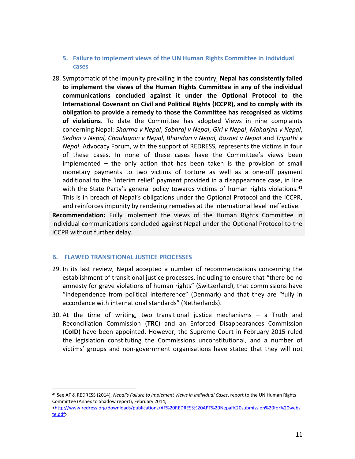# **5. Failure to implement views of the UN Human Rights Committee in individual cases**

28. Symptomatic of the impunity prevailing in the country, **Nepal has consistently failed to implement the views of the Human Rights Committee in any of the individual communications concluded against it under the Optional Protocol to the International Covenant on Civil and Political Rights (ICCPR), and to comply with its obligation to provide a remedy to those the Committee has recognised as victims of violations**. To date the Committee has adopted Views in nine complaints concerning Nepal: *Sharma v Nepal*, *Sobhraj v Nepal*, *Giri v Nepal*, *Maharjan v Nepal*, *Sedhai v Nepal, Chaulagain v Nepal, Bhandari v Nepal, Basnet v Nepal* and *Tripathi v Nepal*. Advocacy Forum, with the support of REDRESS, represents the victims in four of these cases. In none of these cases have the Committee's views been implemented – the only action that has been taken is the provision of small monetary payments to two victims of torture as well as a one-off payment additional to the 'interim relief' payment provided in a disappearance case, in line with the State Party's general policy towards victims of human rights violations.<sup>41</sup> This is in breach of Nepal's obligations under the Optional Protocol and the ICCPR, and reinforces impunity by rendering remedies at the international level ineffective.

**Recommendation:** Fully implement the views of the Human Rights Committee in individual communications concluded against Nepal under the Optional Protocol to the ICCPR without further delay.

# **B. FLAWED TRANSITIONAL JUSTICE PROCESSES**

- 29. In its last review, Nepal accepted a number of recommendations concerning the establishment of transitional justice processes, including to ensure that "there be no amnesty for grave violations of human rights" (Switzerland), that commissions have "independence from political interference" (Denmark) and that they are "fully in accordance with international standards" (Netherlands).
- 30. At the time of writing, two transitional justice mechanisms a Truth and Reconciliation Commission (**TRC**) and an Enforced Disappearances Commission (**CoID**) have been appointed. However, the Supreme Court in February 2015 ruled the legislation constituting the Commissions unconstitutional, and a number of victims' groups and non-government organisations have stated that they will not

<sup>41</sup> See AF & REDRESS (2014), *Nepal's Failure to Implement Views in Individual Cases*, report to the UN Human Rights Committee (Annex to Shadow report), February 2014,

<sup>&</sup>lt;http://www.redress.org/downloads/publications/AF%20REDRESS%20APT%20Nepal%20submission%20for%20websi te.pdf>.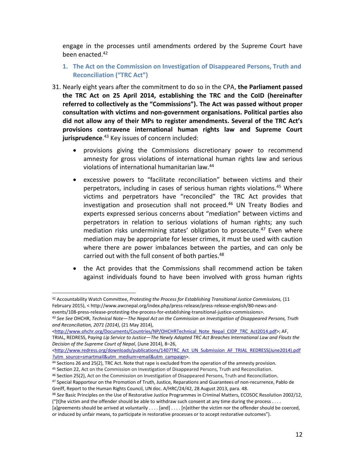engage in the processes until amendments ordered by the Supreme Court have been enacted.<sup>42</sup>

- **1. The Act on the Commission on Investigation of Disappeared Persons, Truth and Reconciliation ("TRC Act")**
- 31. Nearly eight years after the commitment to do so in the CPA, **the Parliament passed the TRC Act on 25 April 2014, establishing the TRC and the CoID (hereinafter referred to collectively as the "Commissions"). The Act was passed without proper consultation with victims and non-government organisations. Political parties also did not allow any of their MPs to register amendments. Several of the TRC Act's provisions contravene international human rights law and Supreme Court jurisprudence**. <sup>43</sup> Key issues of concern included:
	- provisions giving the Commissions discretionary power to recommend amnesty for gross violations of international human rights law and serious violations of international humanitarian law.44
	- x excessive powers to "facilitate reconciliation" between victims and their perpetrators, including in cases of serious human rights violations.<sup>45</sup> Where victims and perpetrators have "reconciled" the TRC Act provides that investigation and prosecution shall not proceed.<sup>46</sup> UN Treaty Bodies and experts expressed serious concerns about "mediation" between victims and perpetrators in relation to serious violations of human rights; any such mediation risks undermining states' obligation to prosecute.<sup>47</sup> Even where mediation may be appropriate for lesser crimes, it must be used with caution where there are power imbalances between the parties, and can only be carried out with the full consent of both parties.<sup>48</sup>
	- the Act provides that the Commissions shall recommend action be taken against individuals found to have been involved with gross human rights

l

<http://www.ohchr.org/Documents/Countries/NP/OHCHRTechnical\_Note\_Nepal\_CIDP\_TRC\_Act2014.pdf>; AF,

45 Section 22, Act on the Commission on Investigation of Disappeared Persons, Truth and Reconciliation.

<sup>42</sup> Accountability Watch Committee, *Protesting the Process for Establishing Transitional Justice Commissions,* (11 February 2015), < http://www.awcnepal.org/index.php/press-release/press-release-english/80-news-andevents/108-press-release-protesting-the-process-for-establishing-transitional-justice-commissions>.

<sup>43</sup> *See See* OHCHR, *Technical Note—The Nepal Act on the Commission on Investigation of Disappeared Persons, Truth and Reconciliation, 2071 (2014)*, (21 May 2014),

TRIAL, REDRESS, P*aying Lip Service to Justice—The Newly Adopted TRC Act Breaches International Law and Flouts the Decision of the Supreme Court of Nepal*, (June 2014), 8–26,

<sup>&</sup>lt;http://www.redress.org/downloads/publications/1407TRC\_Act\_UN\_Submission\_AF\_TRIAL\_REDRESS(June2014).pdf ?utm\_source=smartmail&utm\_medium=email&utm\_campaign>.

<sup>44</sup> Sections 26 and 25(2), TRC Act. Note that rape is excluded from the operation of the amnesty provision.

<sup>46</sup> Section 25(2), Act on the Commission on Investigation of Disappeared Persons, Truth and Reconciliation.

<sup>&</sup>lt;sup>47</sup> Special Rapporteur on the Promotion of Truth, Justice, Reparations and Guarantees of non-recurrence, Pablo de Greiff, Report to the Human Rights Council, UN doc. A/HRC/24/42, 28 August 2013, para. 48.<br><sup>48</sup> See Basic Principles on the Use of Restorative Justice Programmes in Criminal Matters, ECOSOC Resolution 2002/12,

<sup>(&</sup>quot;[t]he victim and the offender should be able to withdraw such consent at any time during the process . . . .

<sup>[</sup>a]greements should be arrived at voluntarily . . . . [and] . . . . [n]either the victim nor the offender should be coerced, or induced by unfair means, to participate in restorative processes or to accept restorative outcomes").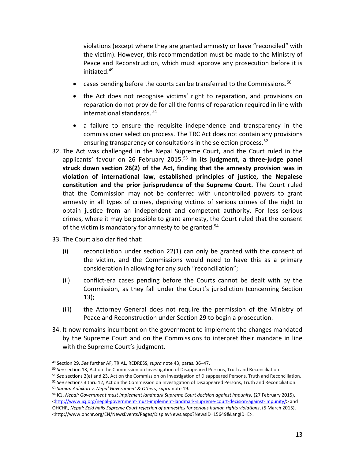violations (except where they are granted amnesty or have "reconciled" with the victim). However, this recommendation must be made to the Ministry of Peace and Reconstruction, which must approve any prosecution before it is initiated.49

- cases pending before the courts can be transferred to the Commissions.<sup>50</sup>
- the Act does not recognise victims' right to reparation, and provisions on reparation do not provide for all the forms of reparation required in line with international standards. <sup>51</sup>
- a failure to ensure the requisite independence and transparency in the commissioner selection process. The TRC Act does not contain any provisions ensuring transparency or consultations in the selection process.<sup>52</sup>
- 32. The Act was challenged in the Nepal Supreme Court, and the Court ruled in the applicants' favour on 26 February 2015.<sup>53</sup> In its judgment, a three-judge panel **struck down section 26(2) of the Act, finding that the amnesty provision was in violation of international law, established principles of justice, the Nepalese constitution and the prior jurisprudence of the Supreme Court.** The Court ruled that the Commission may not be conferred with uncontrolled powers to grant amnesty in all types of crimes, depriving victims of serious crimes of the right to obtain justice from an independent and competent authority. For less serious crimes, where it may be possible to grant amnesty, the Court ruled that the consent of the victim is mandatory for amnesty to be granted.<sup>54</sup>
- 33. The Court also clarified that:

- (i) reconciliation under section 22(1) can only be granted with the consent of the victim, and the Commissions would need to have this as a primary consideration in allowing for any such "reconciliation";
- (ii) conflict-era cases pending before the Courts cannot be dealt with by the Commission, as they fall under the Court's jurisdiction (concerning Section 13);
- (iii) the Attorney General does not require the permission of the Ministry of Peace and Reconstruction under Section 29 to begin a prosecution.
- 34. It now remains incumbent on the government to implement the changes mandated by the Supreme Court and on the Commissions to interpret their mandate in line with the Supreme Court's judgment.

<sup>49</sup> Section 29. *See* further AF, TRIAL, REDRESS, *supra* note 43, paras. 36–47.

<sup>50</sup> *See* section 13, Act on the Commission on Investigation of Disappeared Persons, Truth and Reconciliation.

<sup>51</sup> *See* sections 2(e) and 23, Act on the Commission on Investigation of Disappeared Persons, Truth and Reconciliation.

<sup>52</sup> *See* sections 3 thru 12, Act on the Commission on Investigation of Disappeared Persons, Truth and Reconciliation.<br>53 *Suman Adhikari v. Nepal Government & Others, supra* note 19.

<sup>54</sup> ICJ, *Nepal: Government must implement landmark Supreme Court decision against impunity,* (27 February 2015), <http://www.icj.org/nepal-government-must-implement-landmark-supreme-court-decision-against-impunity/> and OHCHR, *Nepal: Zeid hails Supreme Court rejection of amnesties for serious human rights violations*, (5 March 2015), <http://www.ohchr.org/EN/NewsEvents/Pages/DisplayNews.aspx?NewsID=15649&LangID=E>.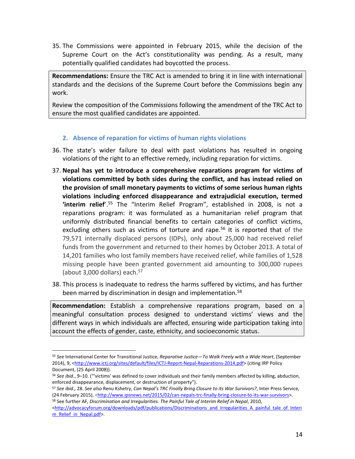35. The Commissions were appointed in February 2015, while the decision of the Supreme Court on the Act's constitutionality was pending. As a result, many potentially qualified candidates had boycotted the process.

**Recommendations:** Ensure the TRC Act is amended to bring it in line with international standards and the decisions of the Supreme Court before the Commissions begin any work.

Review the composition of the Commissions following the amendment of the TRC Act to ensure the most qualified candidates are appointed.

# **2. Absence of reparation for victims of human rights violations**

- 36. The state's wider failure to deal with past violations has resulted in ongoing violations of the right to an effective remedy, including reparation for victims.
- 37. **Nepal has yet to introduce a comprehensive reparations program for victims of violations committed by both sides during the conflict, and has instead relied on the provision of small monetary payments to victims of some serious human rights violations including enforced disappearance and extrajudicial execution, termed 'interim relief**'.<sup>55</sup> The "Interim Relief Program", established in 2008, is not a reparations program: it was formulated as a humanitarian relief program that uniformly distributed financial benefits to certain categories of conflict victims, excluding others such as victims of torture and rape.<sup>56</sup> It is reported that of the 79,571 internally displaced persons (IDPs), only about 25,000 had received relief funds from the government and returned to their homes by October 2013. A total of 14,201 families who lost family members have received relief, while families of 1,528 missing people have been granted government aid amounting to 300,000 rupees (about 3,000 dollars) each.<sup>57</sup>
- 38. This process is inadequate to redress the harms suffered by victims, and has further been marred by discrimination in design and implementation.<sup>58</sup>

**Recommendation:** Establish a comprehensive reparations program, based on a meaningful consultation process designed to understand victims' views and the different ways in which individuals are affected, ensuring wide participation taking into account the effects of gender, caste, ethnicity, and socioeconomic status.

<sup>55</sup> *See* International Center for Transitional Justice, *Reparative Justice—To Walk Freely with a Wide Heart*, (September 2014), 9, <http://www.ictj.org/sites/default/files/ICTJ-Report-Nepal-Reparations-2014.pdf> (citing IRP Policy Document, (25 April 2008)).

<sup>56</sup> *See ibid.*, 9–10. ("'victims' was defined to cover individuals and their family members affected by killing, abduction, enforced disappearance, displacement, or destruction of property").

<sup>57</sup> *See ibid.,* 28. *See also* Renu Kshetry, *Can Nepal's TRC Finally Bring Closure to its War Survivors?*, Inter Press Service, (24 February 2015), <http://www.ipsnews.net/2015/02/can-nepals-trc-finally-bring-closure-to-its-war-survivors>.

<sup>58</sup> See further AF, *Discrimination and Irregularities. The Painful Tale of Interim Relief in Nepal*, 2010, <http://advocacyforum.org/downloads/pdf/publications/Discriminations\_and\_Irregularities\_A\_painful\_tale\_of\_Interi m\_Relief\_in\_Nepal.pdf>.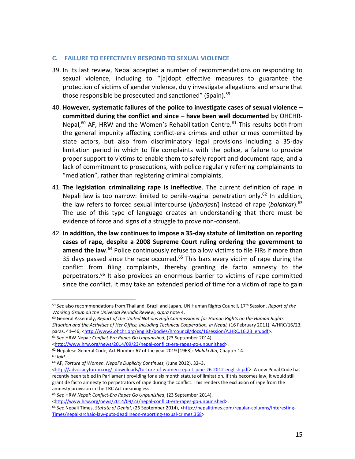#### **C. FAILURE TO EFFECTIVELY RESPOND TO SEXUAL VIOLENCE**

- 39. In its last review, Nepal accepted a number of recommendations on responding to sexual violence, including to "[a]dopt effective measures to guarantee the protection of victims of gender violence, duly investigate allegations and ensure that those responsible be prosecuted and sanctioned" (Spain).<sup>59</sup>
- 40. **However, systematic failures of the police to investigate cases of sexual violence – committed during the conflict and since – have been well documented** by OHCHR-Nepal, $60$  AF, HRW and the Women's Rehabilitation Centre. $61$  This results both from the general impunity affecting conflict-era crimes and other crimes committed by state actors, but also from discriminatory legal provisions including a 35-day limitation period in which to file complaints with the police, a failure to provide proper support to victims to enable them to safely report and document rape, and a lack of commitment to prosecutions, with police regularly referring complainants to "mediation", rather than registering criminal complaints.
- 41. **The legislation criminalizing rape is ineffective**. The current definition of rape in Nepali law is too narrow: limited to penile-vaginal penetration only.<sup>62</sup> In addition, the law refers to forced sexual intercourse (*jabarjasti*) instead of rape (*balatkar*).63 The use of this type of language creates an understanding that there must be evidence of force and signs of a struggle to prove non-consent.
- 42. **In addition, the law continues to impose a 35-day statute of limitation on reporting cases of rape, despite a 2008 Supreme Court ruling ordering the government to amend the law**. <sup>64</sup> Police continuously refuse to allow victims to file FIRs if more than 35 days passed since the rape occurred.<sup>65</sup> This bars every victim of rape during the conflict from filing complaints, thereby granting de facto amnesty to the perpetrators.<sup>66</sup> It also provides an enormous barrier to victims of rape committed since the conflict. It may take an extended period of time for a victim of rape to gain

l

<http://www.hrw.org/news/2014/09/23/nepal-conflict-era-rapes-go-unpunished>.

<sup>59</sup> *See* also recommendations from Thailand, Brazil and Japan, UN Human Rights Council, 17th Session, *Report of the Working Group on the Universal Periodic Review*, *supra* note 4.

<sup>60</sup> General Assembly, *Report of the United Nations High Commissioner for Human Rights on the Human Rights Situation and the Activities of Her Office, Including Technical Cooperation, in Nepal,* (16 February 2011), A/HRC/16/23, paras. 41-46, <http://www2.ohchr.org/english/bodies/hrcouncil/docs/16session/A.HRC.16.23\_en.pdf>. <sup>61</sup> *See* HRW Nepal*: Conflict-Era Rapes Go Unpunished*, (23 September 2014),

<sup>&</sup>lt;http://www.hrw.org/news/2014/09/23/nepal-conflict-era-rapes-go-unpunished>.

<sup>62</sup> Nepalese General Code, Act Number 67 of the year 2019 [1963]: *Muluki Ain*, Chapter 14. <sup>63</sup> *Ibid*.

<sup>64</sup> AF, *Torture of Women. Nepal's Duplicity Continues,* (June 2012), 32–3,

<sup>&</sup>lt;http://advocacyforum.org/\_downloads/torture-of-women-report-june-26-2012-english.pdf>. A new Penal Code has recently been tabled in Parliament providing for a six month statute of limitation. If this becomes law, it would still grant de facto amnesty to perpetrators of rape during the conflict. This renders the exclusion of rape from the amnesty provision in the TRC Act meaningless.

<sup>65</sup> *See* HRW *Nepal: Conflict-Era Rapes Go Unpunished*, (23 September 2014),

<sup>66</sup> *See* Nepali Times, *Statute of Denial*, (26 September 2014), <http://nepalitimes.com/regular-columns/Interesting-Times/nepal-archaic-law-puts-deadlineon-reporting-sexual-crimes,368>.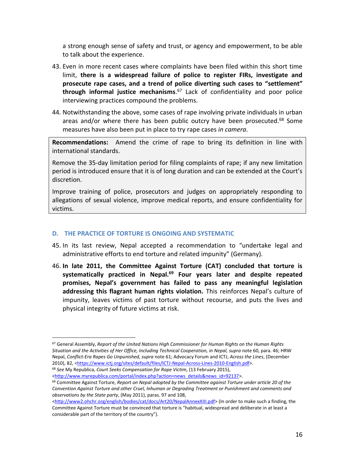a strong enough sense of safety and trust, or agency and empowerment, to be able to talk about the experience.

- 43. Even in more recent cases where complaints have been filed within this short time limit, **there is a widespread failure of police to register FIRs, investigate and prosecute rape cases, and a trend of police diverting such cases to "settlement" through informal justice mechanisms**. <sup>67</sup> Lack of confidentiality and poor police interviewing practices compound the problems.
- 44. Notwithstanding the above, some cases of rape involving private individuals in urban areas and/or where there has been public outcry have been prosecuted.<sup>68</sup> Some measures have also been put in place to try rape cases *in camera*.

**Recommendations:** Amend the crime of rape to bring its definition in line with international standards.

Remove the 35-day limitation period for filing complaints of rape; if any new limitation period is introduced ensure that it is of long duration and can be extended at the Court's discretion.

Improve training of police, prosecutors and judges on appropriately responding to allegations of sexual violence, improve medical reports, and ensure confidentiality for victims.

# **D. THE PRACTICE OF TORTURE IS ONGOING AND SYSTEMATIC**

- 45. In its last review, Nepal accepted a recommendation to "undertake legal and administrative efforts to end torture and related impunity" (Germany).
- 46. **In late 2011, the Committee Against Torture (CAT) concluded that torture is systematically practiced in Nepal.69 Four years later and despite repeated promises, Nepal's government has failed to pass any meaningful legislation addressing this flagrant human rights violation.** This reinforces Nepal's culture of impunity, leaves victims of past torture without recourse, and puts the lives and physical integrity of future victims at risk.

<sup>67</sup> General Assembly, *Report of the United Nations High Commissioner for Human Rights on the Human Rights Situation and the Activities of Her Office, Including Technical Cooperation, in Nepal, supra* note 60, para. 46; HRW Nepal, *Conflict-Era Rapes Go Unpunished, supra* note 61; Advocacy Forum and ICTJ, *Across the Lines*, (December 2010), 82, <https://www.ictj.org/sites/default/files/ICTJ-Nepal-Across-Lines-2010-English.pdf>. <sup>68</sup> *See* My Republica, *Court Seeks Compensation for Rape Victim*, (13 February 2015),

<http://www.myrepublica.com/portal/index.php?action=news\_details&news\_id=92137>.

 $\overline{a}$ 

<sup>69</sup> Committee Against Torture, *Report on Nepal adopted by the Committee against Torture under article 20 of the Convention Against Torture and other Cruel, Inhuman or Degrading Treatment or Punishment and comments and observations by the State party*, (May 2011), paras. 97 and 108,

<sup>&</sup>lt;http://www2.ohchr.org/english/bodies/cat/docs/Art20/NepalAnnexXIII.pdf> (In order to make such a finding, the Committee Against Torture must be convinced that torture is "habitual, widespread and deliberate in at least a considerable part of the territory of the country").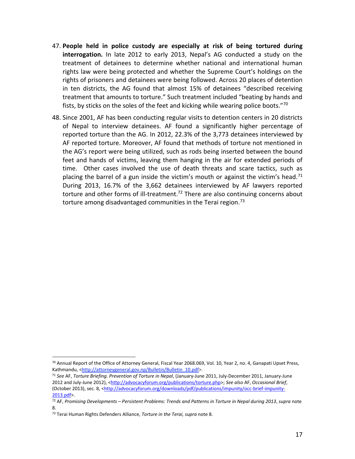- 47. **People held in police custody are especially at risk of being tortured during interrogation.** In late 2012 to early 2013, Nepal's AG conducted a study on the treatment of detainees to determine whether national and international human rights law were being protected and whether the Supreme Court's holdings on the rights of prisoners and detainees were being followed. Across 20 places of detention in ten districts, the AG found that almost 15% of detainees "described receiving treatment that amounts to torture." Such treatment included "beating by hands and fists, by sticks on the soles of the feet and kicking while wearing police boots." $70$
- 48. Since 2001, AF has been conducting regular visits to detention centers in 20 districts of Nepal to interview detainees. AF found a significantly higher percentage of reported torture than the AG. In 2012, 22.3% of the 3,773 detainees interviewed by AF reported torture. Moreover, AF found that methods of torture not mentioned in the AG's report were being utilized, such as rods being inserted between the bound feet and hands of victims, leaving them hanging in the air for extended periods of time. Other cases involved the use of death threats and scare tactics, such as placing the barrel of a gun inside the victim's mouth or against the victim's head.<sup>71</sup> During 2013, 16.7% of the 3,662 detainees interviewed by AF lawyers reported torture and other forms of ill-treatment.<sup>72</sup> There are also continuing concerns about torture among disadvantaged communities in the Terai region.<sup>73</sup>

<sup>70</sup> Annual Report of the Office of Attorney General, Fiscal Year 2068.069, Vol. 10, Year 2, no. 4, Ganapati Upset Press, Kathmandu, <http://attorneygeneral.gov.np/Bulletin/Bulletin\_10.pdf>.

<sup>71</sup> *See* AF, *Torture Briefing. Prevention of Torture in Nepal*, (January-June 2011, July-December 2011, January-June 2012 and July-June 2012), <http://advocacyforum.org/publications/torture.php>; *See also* AF, *Occasional Brief*, (October 2013), sec. 8, <http://advocacyforum.org/downloads/pdf/publications/impunity/occ-brief-impunity-2013.pdf>.

<sup>72</sup> AF, *Promising Developments – Persistent Problems: Trends and Patterns in Torture in Nepal during 2013*, *supra* note 8.

<sup>73</sup> Terai Human Rights Defenders Alliance, *Torture in the Terai, supra* note 8.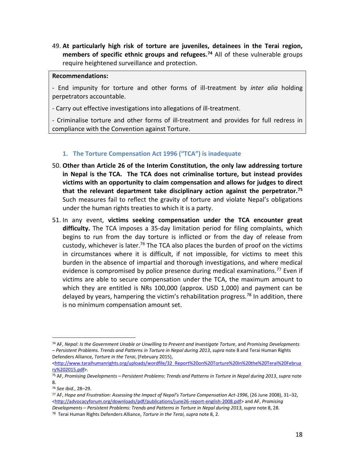49. **At particularly high risk of torture are juveniles, detainees in the Terai region,**  members of specific ethnic groups and refugees.<sup>74</sup> All of these vulnerable groups require heightened surveillance and protection.

#### **Recommendations:**

- End impunity for torture and other forms of ill-treatment by *inter alia* holding perpetrators accountable.

- Carry out effective investigations into allegations of ill-treatment.

- Criminalise torture and other forms of ill-treatment and provides for full redress in compliance with the Convention against Torture.

# **1. The Torture Compensation Act 1996 ("TCA") is inadequate**

- 50. **Other than Article 26 of the Interim Constitution, the only law addressing torture in Nepal is the TCA. The TCA does not criminalise torture, but instead provides victims with an opportunity to claim compensation and allows for judges to direct that the relevant department take disciplinary action against the perpetrator.75** Such measures fail to reflect the gravity of torture and violate Nepal's obligations under the human rights treaties to which it is a party.
- 51. In any event, **victims seeking compensation under the TCA encounter great difficulty.** The TCA imposes a 35-day limitation period for filing complaints, which begins to run from the day torture is inflicted or from the day of release from custody, whichever is later.<sup>76</sup> The TCA also places the burden of proof on the victims in circumstances where it is difficult, if not impossible, for victims to meet this burden in the absence of impartial and thorough investigations, and where medical evidence is compromised by police presence during medical examinations.<sup>77</sup> Even if victims are able to secure compensation under the TCA, the maximum amount to which they are entitled is NRs 100,000 (approx. USD 1,000) and payment can be delayed by years, hampering the victim's rehabilitation progress.<sup>78</sup> In addition, there is no minimum compensation amount set.

<sup>74</sup> AF, *Nepal: Is the Government Unable or Unwilling to Prevent and Investigate Torture*, and *Promising Developments – Persistent Problems. Trends and Patterns in Torture in Nepal during 2013*, *supra* note 8 and Terai Human Rights Defenders Alliance, *Torture in the Terai*, (February 2015),

<sup>&</sup>lt;http://www.taraihumanrights.org/uploads/wordfile/32\_Report%20on%20Torture%20in%20the%20Terai%20Februa ry%202015.pdf>.

<sup>75</sup> AF, *Promising Developments – Persistent Problems: Trends and Patterns in Torture in Nepal during 2013*, *supra* note 8.

<sup>76</sup> *See ibid.*, 28–29.

<sup>77</sup> AF, *Hope and Frustration: Assessing the Impact of Nepal's Torture Compensation Act-1996*, (26 June 2008), 31–32, <http://advocacyforum.org/downloads/pdf/publications/june26-report-english-2008.pdf> and AF, *Promising Developments – Persistent Problems: Trends and Patterns in Torture in Nepal during 2013*, *supra* note 8, 28.

<sup>78</sup> Terai Human Rights Defenders Alliance, *Torture in the Terai, supra* note 8, 2.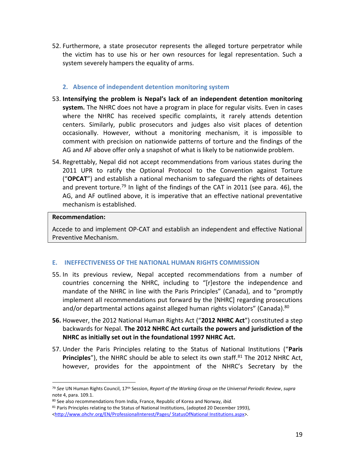- 52. Furthermore, a state prosecutor represents the alleged torture perpetrator while the victim has to use his or her own resources for legal representation. Such a system severely hampers the equality of arms.
	- **2. Absence of independent detention monitoring system**
- 53. **Intensifying the problem is Nepal's lack of an independent detention monitoring system.** The NHRC does not have a program in place for regular visits. Even in cases where the NHRC has received specific complaints, it rarely attends detention centers. Similarly, public prosecutors and judges also visit places of detention occasionally. However, without a monitoring mechanism, it is impossible to comment with precision on nationwide patterns of torture and the findings of the AG and AF above offer only a snapshot of what is likely to be nationwide problem.
- 54. Regrettably, Nepal did not accept recommendations from various states during the 2011 UPR to ratify the Optional Protocol to the Convention against Torture ("**OPCAT**") and establish a national mechanism to safeguard the rights of detainees and prevent torture.<sup>79</sup> In light of the findings of the CAT in 2011 (see para. 46), the AG, and AF outlined above, it is imperative that an effective national preventative mechanism is established.

#### **Recommendation:**

 $\overline{a}$ 

Accede to and implement OP-CAT and establish an independent and effective National Preventive Mechanism.

# **E. INEFFECTIVENESS OF THE NATIONAL HUMAN RIGHTS COMMISSION**

- 55. In its previous review, Nepal accepted recommendations from a number of countries concerning the NHRC, including to "[r]estore the independence and mandate of the NHRC in line with the Paris Principles" (Canada), and to "promptly implement all recommendations put forward by the [NHRC] regarding prosecutions and/or departmental actions against alleged human rights violators" (Canada).<sup>80</sup>
- **56.** However, the 2012 National Human Rights Act ("**2012 NHRC Act**") constituted a step backwards for Nepal. **The 2012 NHRC Act curtails the powers and jurisdiction of the NHRC as initially set out in the foundational 1997 NHRC Act.**
- 57. Under the Paris Principles relating to the Status of National Institutions ("**Paris Principles**"), the NHRC should be able to select its own staff.<sup>81</sup> The 2012 NHRC Act, however, provides for the appointment of the NHRC's Secretary by the

<sup>79</sup> *See* UN Human Rights Council, 17th Session, *Report of the Working Group on the Universal Periodic Review*, *supra* note 4, para. 109.1.

<sup>80</sup> See also recommendations from India, France, Republic of Korea and Norway, *ibid.*

<sup>81</sup> Paris Principles relating to the Status of National Institutions, (adopted 20 December 1993), <http://www.ohchr.org/EN/ProfessionalInterest/Pages/ StatusOfNational Institutions.aspx>.